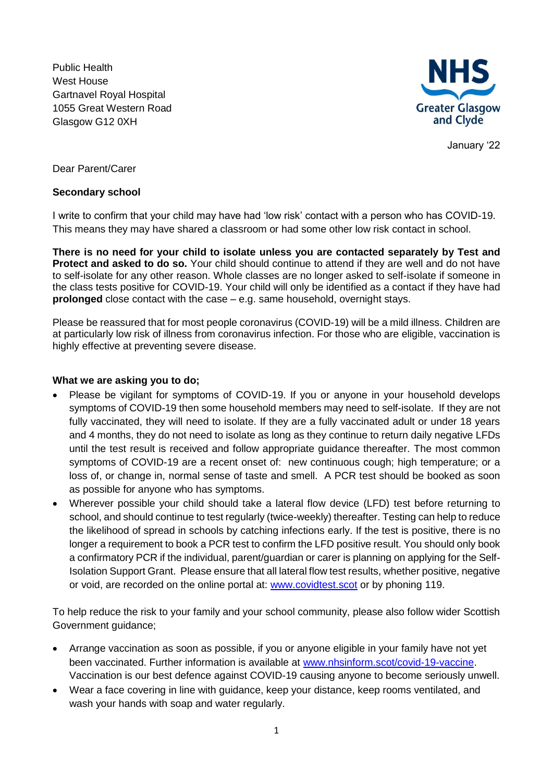Public Health West House Gartnavel Royal Hospital 1055 Great Western Road Glasgow G12 0XH



January '22

Dear Parent/Carer

## **Secondary school**

I write to confirm that your child may have had 'low risk' contact with a person who has COVID-19. This means they may have shared a classroom or had some other low risk contact in school.

**There is no need for your child to isolate unless you are contacted separately by Test and Protect and asked to do so.** Your child should continue to attend if they are well and do not have to self-isolate for any other reason. Whole classes are no longer asked to self-isolate if someone in the class tests positive for COVID-19. Your child will only be identified as a contact if they have had **prolonged** close contact with the case – e.g. same household, overnight stays.

Please be reassured that for most people coronavirus (COVID-19) will be a mild illness. Children are at particularly low risk of illness from coronavirus infection. For those who are eligible, vaccination is highly effective at preventing severe disease.

## **What we are asking you to do;**

- Please be vigilant for symptoms of COVID-19. If you or anyone in your household develops symptoms of COVID-19 then some household members may need to self-isolate. If they are not fully vaccinated, they will need to isolate. If they are a fully vaccinated adult or under 18 years and 4 months, they do not need to isolate as long as they continue to return daily negative LFDs until the test result is received and follow appropriate guidance thereafter. The most common symptoms of COVID-19 are a recent onset of: new continuous cough; high temperature; or a loss of, or change in, normal sense of taste and smell. A PCR test should be booked as soon as possible for anyone who has symptoms.
- Wherever possible your child should take a lateral flow device (LFD) test before returning to school, and should continue to test regularly (twice-weekly) thereafter. Testing can help to reduce the likelihood of spread in schools by catching infections early. If the test is positive, there is no longer a requirement to book a PCR test to confirm the LFD positive result. You should only book a confirmatory PCR if the individual, parent/guardian or carer is planning on applying for the Self-Isolation Support Grant. Please ensure that all lateral flow test results, whether positive, negative or void, are recorded on the online portal at: [www.covidtest.scot](http://www.covidtest.scot/) or by phoning 119.

To help reduce the risk to your family and your school community, please also follow wider Scottish Government guidance;

- Arrange vaccination as soon as possible, if you or anyone eligible in your family have not yet been vaccinated. Further information is available at [www.nhsinform.scot/covid-19-vaccine.](http://www.nhsinform.scot/covid-19-vaccine) Vaccination is our best defence against COVID-19 causing anyone to become seriously unwell.
- Wear a face covering in line with guidance, keep your distance, keep rooms ventilated, and wash your hands with soap and water regularly.